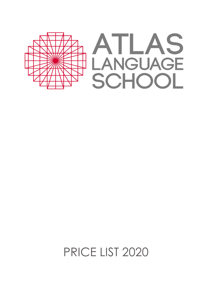

PRICE LIST 2020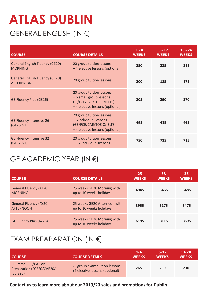# **ATLAS DUBLIN**

### GENERAL ENGLISH (IN €)

| <b>COURSE</b>                                             | <b>COURSE DETAILS</b>                                                                                            | $1 - 4$<br><b>WEEKS</b> | $5 - 12$<br><b>WEEKS</b> | $13 - 24$<br><b>WEEKS</b> |
|-----------------------------------------------------------|------------------------------------------------------------------------------------------------------------------|-------------------------|--------------------------|---------------------------|
| <b>General English Fluency (GE20)</b><br><b>MORNING</b>   | 20 group tuition lessons<br>+4 elective lessons (optional)                                                       | 250                     | 235                      | 215                       |
| <b>General English Fluency (GE20)</b><br><b>AFTERNOON</b> | 20 group tuition lessons                                                                                         | 200                     | 185                      | 175                       |
| <b>GE Fluency Plus (GE26)</b>                             | 20 group tuition lessons<br>+ 6 small group lessons<br>GE/FCE/CAE/TOEIC/IELTS)<br>+4 elective lessons (optional) | 305                     | 290                      | 270                       |
| <b>GE Fluency Intensive 26</b><br>(GE26INT)               | 20 group tuition lessons<br>+ 6 individual lessons<br>(GE/FCE/CAE/TOEIC/IELTS)<br>+4 elective lessons (optional) | 495                     | 485                      | 465                       |
| <b>GE Fluency Intensive 32</b><br>(GE32INT)               | 20 group tuition lessons<br>+ 12 individual lessons                                                              | 750                     | 735                      | 715                       |

#### GE ACADEMIC YEAR (IN €)

| <b>COURSE</b>                                     | <b>COURSE DETAILS</b>                                   | 25<br><b>WEEKS</b> | 33<br><b>WEEKS</b> | 35<br><b>WEEKS</b> |
|---------------------------------------------------|---------------------------------------------------------|--------------------|--------------------|--------------------|
| <b>General Fluency (AY20)</b><br><b>MORNING</b>   | 25 weeks GE20 Morning with<br>up to 10 weeks holidays   | 4945               | 6465               | 6485               |
| <b>General Fluency (AY20)</b><br><b>AFTERNOON</b> | 25 weeks GE20 Afternoon with<br>up to 10 weeks holidays | 3955               | 5175               | 5475               |
| <b>GE Fluency Plus (AY26)</b>                     | 25 weeks GE26 Morning with<br>up to 10 weeks holidays   | 6195               | 8115               | 8595               |

#### EXAM PREAPARATION (IN €)

| <b>COURSE</b>                                                       | <b>COURSE DETAILS</b>                                           | 1-4<br><b>WEEKS</b> | $5-12$<br><b>WEEKS</b> | $13 - 24$<br><b>WEEKS</b> |
|---------------------------------------------------------------------|-----------------------------------------------------------------|---------------------|------------------------|---------------------------|
| Full-time FCE/CAE or IELTS<br>Preparation (FCE20/CAE20/<br>IELTS20) | 20 group exam tuition lessons<br>+4 elective lessons (optional) | 265                 | 250                    | 230                       |

**Contact us to learn more about our 2019/20 sales and promotions for Dublin!**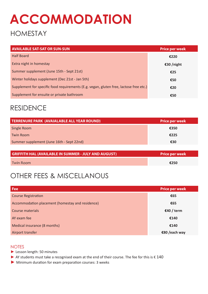## **ACCOMMODATION**

#### HOMESTAY

| <b>AVAILABLE SAT-SAT OR SUN-SUN</b>                                                    | <b>Price per week</b> |
|----------------------------------------------------------------------------------------|-----------------------|
| <b>Half Board</b>                                                                      | €220                  |
| Extra night in homestay                                                                | €30 /night            |
| Summer supplement (June 15th - Sept 21st)                                              | €25                   |
| Winter holidays supplement (Dec 21st - Jan 5th)                                        | €50                   |
| Supplement for specific food requirements (E.g. vegan, gluten free, lactose free etc.) | €20                   |
| Supplement for ensuite or private bathroom                                             | €50                   |

#### RESIDENCE

| <b>TERRENURE PARK (AVAIALABLE ALL YEAR ROUND)</b> | <b>Price per week</b> |
|---------------------------------------------------|-----------------------|
| Single Room                                       | €350                  |
| <b>Twin Room</b>                                  | €225                  |
| Summer supplement (June 16th - Sept 22nd)         | €30                   |

| <b>GRIFFITH HAL (AVAILABLE IN SUMMER - JULY AND AUGUST)</b> | <b>Price per week</b> |
|-------------------------------------------------------------|-----------------------|
| <b>Twin Room</b>                                            | €250                  |

#### OTHER FEES & MISCELLANOUS

| Fee                                              | <b>Price per week</b> |
|--------------------------------------------------|-----------------------|
| <b>Course Registration</b>                       | €65                   |
| Accommodation placement (homestay and residence) | €65                   |
| Course materials                                 | €40 / term            |
| AY exam fee                                      | €140                  |
| Medical insurance (8 months)                     | €140                  |
| Airport transfer                                 | €80 /each way         |

#### **NOTES**

- ► Lesson length: 50 minutes
- ▶ AY students must take a recognised exam at the end of their course. The fee for this is € 140
- ► Minimum duration for exam preparation courses: 3 weeks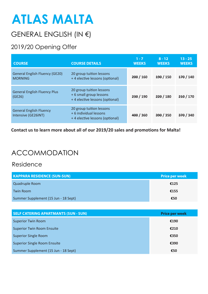# **ATLAS MALTA**

### GENERAL ENGLISH (IN €)

#### 2019/20 Opening Offer

| <b>COURSE</b>                                           | <b>COURSE DETAILS</b>                                                                 | $1 - 7$<br><b>WEEKS</b> | $8 - 12$<br><b>WEEKS</b> | $13 - 25$<br><b>WEEKS</b> |
|---------------------------------------------------------|---------------------------------------------------------------------------------------|-------------------------|--------------------------|---------------------------|
| <b>General English Fluency (GE20)</b><br><b>MORNING</b> | 20 group tuition lessons<br>+4 elective lessons (optional)                            | 200 / 160               | <del>190</del> / 150     | 170/140                   |
| <b>General English Fluency Plus</b><br>(GE26)           | 20 group tuition lessons<br>+ 6 small group lessons<br>+4 elective lessons (optional) | 230/190                 | 220/180                  | 210/170                   |
| <b>General English Fluency</b><br>Intensive (GE26INT)   | 20 group tuition lessons<br>+ 6 individual lessons<br>+4 elective lessons (optional)  | 400 / 360               | 390/350                  | 370/340                   |

**Contact us to learn more about all of our 2019/20 sales and promotions for Malta!**

#### ACCOMMODATION

Residence

| <b>KAPPARA RESIDENCE (SUN-SUN)</b>   | <b>Price per week</b> |
|--------------------------------------|-----------------------|
| Quadruple Room                       | €125                  |
| <b>Twin Room</b>                     | €155                  |
| Summer Supplement (15 Jun - 18 Sept) | €50                   |

| <b>SELF CATERING APARTMANTS (SUN - SUN)</b> | <b>Price per week</b> |
|---------------------------------------------|-----------------------|
| <b>Superior Twin Room</b>                   | €190                  |
| <b>Superior Twin Room Ensuite</b>           | €210                  |
| <b>Superior Single Room</b>                 | €350                  |
| <b>Superior Single Room Ensuite</b>         | €390                  |
| Summer Supplement (15 Jun - 18 Sept)        | €50                   |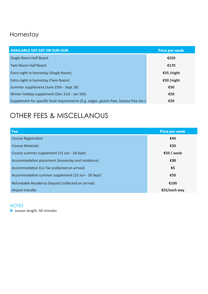#### Homestay

| <b>AVAILABLE SAT-SAT OR SUN-SUN</b>                                                    | <b>Price per week</b> |
|----------------------------------------------------------------------------------------|-----------------------|
| Single Room Half Board                                                                 | €220                  |
| <b>Twin Room Half Board</b>                                                            | €170                  |
| Extra night in homestay (Single Room)                                                  | €35 /night            |
| Extra night in homestay (Twin Room)                                                    | €30 /night            |
| Summer supplement (June 15th - Sept 18)                                                | €50                   |
| Winter holiday supplement (Dec 21st - Jan 5th)                                         | €50                   |
| Supplement for specific food requirements (E.g. vegan, gluten free, lactose free etc.) | €20                   |

## OTHER FEES & MISCELLANOUS

| Fee                                                 | <b>Price per week</b> |
|-----------------------------------------------------|-----------------------|
| <b>Course Registration</b>                          | €40                   |
| <b>Course Materials</b>                             | €30                   |
| Course summer supplement (15 Jun - 18 Sept)         | €50 / week            |
| Accommodation placement (homestay and residence)    | €30                   |
| Accommodation Eco Tax (collected on arrival)        | €5                    |
| Accommodation summer supplement (15 Jun - 18 Sept)  | €50                   |
| Refundable Residence Deposit (collected on arrival) | €100                  |
| Airport transfer                                    | €25/each wav          |

#### **NOTES**

► Lesson length: 50 minutes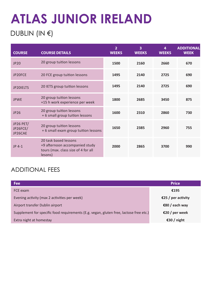# **ATLAS JUNIOR IRELAND**

### DUBLIN (IN €)

| <b>COURSE</b>                           | <b>COURSE DETAILS</b>                                                                                     | $\overline{2}$<br><b>WEEKS</b> | 3<br><b>WEEKS</b> | 4<br><b>WEEKS</b> | <b>ADDITIONAL</b><br><b>WEEK</b> |
|-----------------------------------------|-----------------------------------------------------------------------------------------------------------|--------------------------------|-------------------|-------------------|----------------------------------|
| JP20                                    | 20 group tuition lessons                                                                                  | 1500                           | 2160              | 2660              | 670                              |
| JP20FCE                                 | 20 FCE group tuition lessons                                                                              | 1495                           | 2140              | 2725              | 690                              |
| JP20IELTS                               | 20 IETS group tuition lessons                                                                             | 1495                           | 2140              | 2725              | 690                              |
| <b>JPWE</b>                             | 20 group tuition lessons<br>+15 h work experience per week                                                | 1800                           | 2685              | 3450              | 875                              |
| JP26                                    | 20 group tuition lessons<br>+ 6 small group tuition lessons                                               | 1600                           | 2310              | 2860              | 730                              |
| <b>JP26 PET/</b><br>JP26FCE/<br>JP26CAE | 20 group tuition lessons<br>+ 6 small exam group tuition lessons                                          | 1650                           | 2385              | 2960              | 755                              |
| JP 4-1                                  | 20 task based lessons<br>+9 afternoon accompanied study<br>tours (max. class size of 4 for all<br>lesons) | 2000                           | 2865              | 3700              | 990                              |

#### ADDITIONAL FEES

| <b>Fee</b>                                                                             | <b>Price</b>       |  |
|----------------------------------------------------------------------------------------|--------------------|--|
| FCE exam                                                                               | €195               |  |
| Evening activity (max 2 activities per week)                                           | €25 / per activity |  |
| Airport transfer Dublin airport                                                        | €80 / each way     |  |
| Supplement for specific food requirements (E.g. vegan, gluten free, lactose free etc.) | €20 / per week     |  |
| Extra night at homestay                                                                | €30 / night        |  |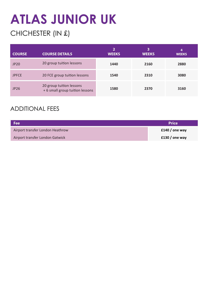# **ATLAS JUNIOR UK**

### CHICHESTER (IN £)

| <b>COURSE</b> | <b>COURSE DETAILS</b>                                       | 2<br><b>WEEKS</b> | з<br><b>WEEKS</b> | 4<br><b>WEEKS</b> |
|---------------|-------------------------------------------------------------|-------------------|-------------------|-------------------|
| <b>JP20</b>   | 20 group tuition lessons                                    | 1440              | 2160              | 2880              |
| <b>JPFCE</b>  | 20 FCE group tuition lessons                                | 1540              | 2310              | 3080              |
| JP26          | 20 group tuition lessons<br>+ 6 small group tuition lessons | 1580              | 2370              | 3160              |

#### ADDITIONAL FEES

| Fee                              | <b>Price</b>   |
|----------------------------------|----------------|
| Airport transfer London Heathrow | £140 / one way |
| Airport transfer London Gatwick  | £130 / one way |